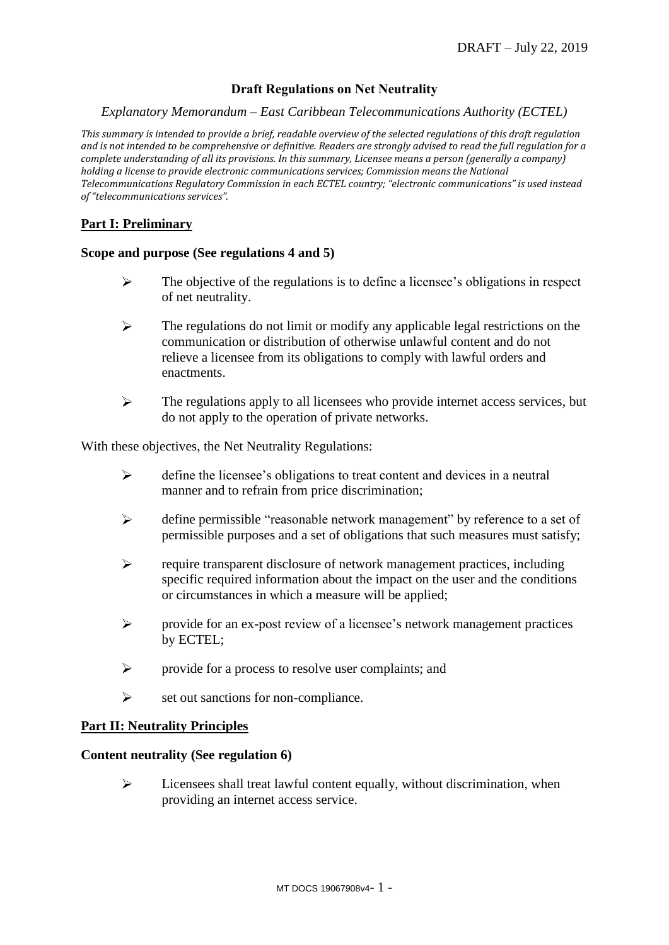# **Draft Regulations on Net Neutrality**

### *Explanatory Memorandum – East Caribbean Telecommunications Authority (ECTEL)*

*This summary is intended to provide a brief, readable overview of the selected regulations of this draft regulation and is not intended to be comprehensive or definitive. Readers are strongly advised to read the full regulation for a complete understanding of all its provisions. In this summary, Licensee means a person (generally a company) holding a license to provide electronic communications services; Commission means the National Telecommunications Regulatory Commission in each ECTEL country; "electronic communications" is used instead of "telecommunications services".*

# **Part I: Preliminary**

### **Scope and purpose (See regulations 4 and 5)**

- $\blacktriangleright$ The objective of the regulations is to define a licensee's obligations in respect of net neutrality.
- $\blacktriangleright$ The regulations do not limit or modify any applicable legal restrictions on the communication or distribution of otherwise unlawful content and do not relieve a licensee from its obligations to comply with lawful orders and enactments.
- $\blacktriangleright$ The regulations apply to all licensees who provide internet access services, but do not apply to the operation of private networks.

With these objectives, the Net Neutrality Regulations:

- $\blacktriangleright$ define the licensee's obligations to treat content and devices in a neutral manner and to refrain from price discrimination;
- ↘ define permissible "reasonable network management" by reference to a set of permissible purposes and a set of obligations that such measures must satisfy;
- $\blacktriangleright$ require transparent disclosure of network management practices, including specific required information about the impact on the user and the conditions or circumstances in which a measure will be applied;
- provide for an ex-post review of a licensee's network management practices  $\triangleright$ by ECTEL;
- provide for a process to resolve user complaints; and  $\blacktriangleright$
- $\blacktriangleright$ set out sanctions for non-compliance.

### **Part II: Neutrality Principles**

#### **Content neutrality (See regulation 6)**

 $\blacktriangleright$ Licensees shall treat lawful content equally, without discrimination, when providing an internet access service.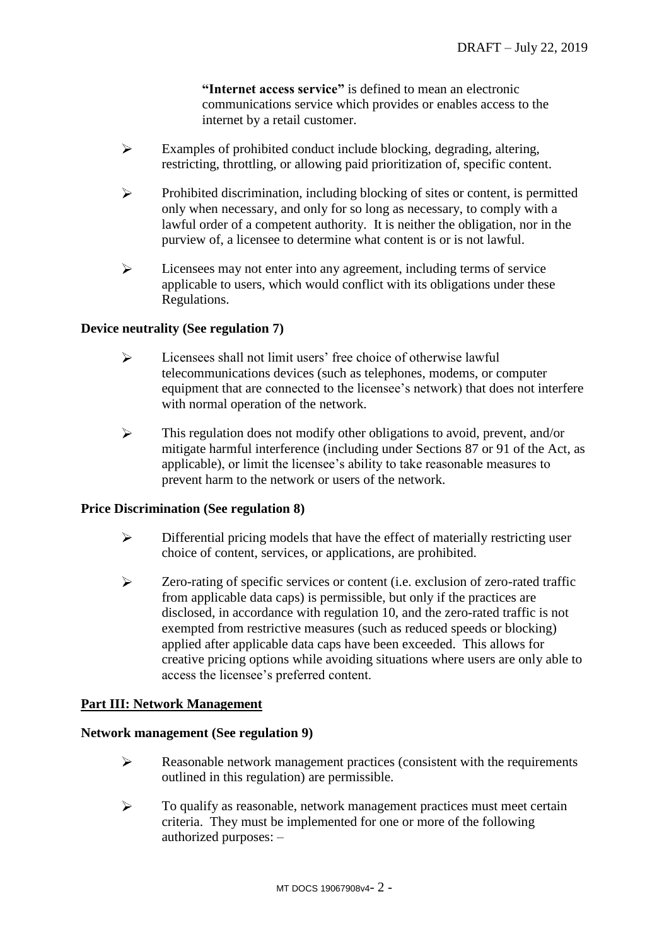**"Internet access service"** is defined to mean an electronic communications service which provides or enables access to the internet by a retail customer.

- $\blacktriangleright$ Examples of prohibited conduct include blocking, degrading, altering, restricting, throttling, or allowing paid prioritization of, specific content.
- $\blacktriangleright$ Prohibited discrimination, including blocking of sites or content, is permitted only when necessary, and only for so long as necessary, to comply with a lawful order of a competent authority. It is neither the obligation, nor in the purview of, a licensee to determine what content is or is not lawful.
- $\blacktriangleright$ Licensees may not enter into any agreement, including terms of service applicable to users, which would conflict with its obligations under these Regulations.

# **Device neutrality (See regulation 7)**

- $\blacktriangleright$ Licensees shall not limit users' free choice of otherwise lawful telecommunications devices (such as telephones, modems, or computer equipment that are connected to the licensee's network) that does not interfere with normal operation of the network.
- $\blacktriangleright$ This regulation does not modify other obligations to avoid, prevent, and/or mitigate harmful interference (including under Sections 87 or 91 of the Act, as applicable), or limit the licensee's ability to take reasonable measures to prevent harm to the network or users of the network.

### **Price Discrimination (See regulation 8)**

- $\blacktriangleright$ Differential pricing models that have the effect of materially restricting user choice of content, services, or applications, are prohibited.
- $\blacktriangleright$ Zero-rating of specific services or content (i.e. exclusion of zero-rated traffic from applicable data caps) is permissible, but only if the practices are disclosed, in accordance with regulation 10, and the zero-rated traffic is not exempted from restrictive measures (such as reduced speeds or blocking) applied after applicable data caps have been exceeded. This allows for creative pricing options while avoiding situations where users are only able to access the licensee's preferred content.

# **Part III: Network Management**

### **Network management (See regulation 9)**

- $\blacktriangleright$ Reasonable network management practices (consistent with the requirements outlined in this regulation) are permissible.
- $\blacktriangleright$ To qualify as reasonable, network management practices must meet certain criteria. They must be implemented for one or more of the following authorized purposes: –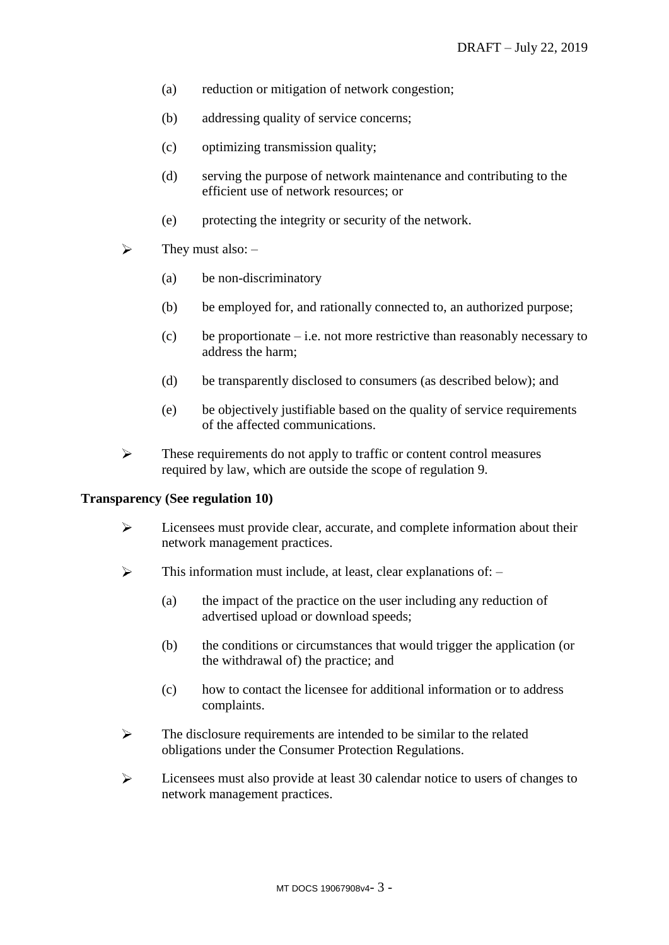- (a) reduction or mitigation of network congestion;
- (b) addressing quality of service concerns;
- (c) optimizing transmission quality;
- (d) serving the purpose of network maintenance and contributing to the efficient use of network resources; or
- (e) protecting the integrity or security of the network.
- $\blacktriangleright$ They must also: –
	- (a) be non-discriminatory
	- (b) be employed for, and rationally connected to, an authorized purpose;
	- (c) be proportionate i.e. not more restrictive than reasonably necessary to address the harm;
	- (d) be transparently disclosed to consumers (as described below); and
	- (e) be objectively justifiable based on the quality of service requirements of the affected communications.
- $\blacktriangleright$ These requirements do not apply to traffic or content control measures required by law, which are outside the scope of regulation 9.

### **Transparency (See regulation 10)**

- $\blacktriangleright$ Licensees must provide clear, accurate, and complete information about their network management practices.
- $\blacktriangleright$ This information must include, at least, clear explanations of: –
	- (a) the impact of the practice on the user including any reduction of advertised upload or download speeds;
	- (b) the conditions or circumstances that would trigger the application (or the withdrawal of) the practice; and
	- (c) how to contact the licensee for additional information or to address complaints.
- $\blacktriangleright$ The disclosure requirements are intended to be similar to the related obligations under the Consumer Protection Regulations.
- $\blacktriangleright$ Licensees must also provide at least 30 calendar notice to users of changes to network management practices.